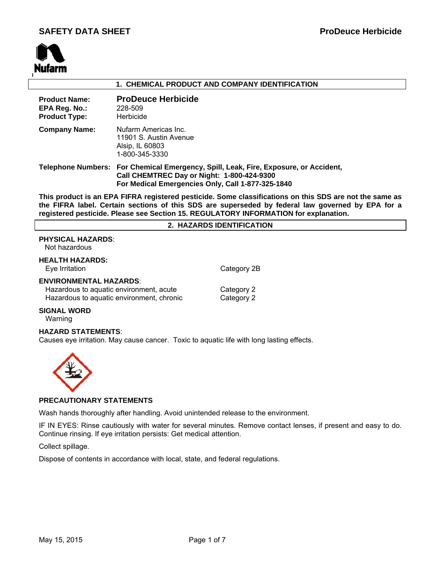

# **1. CHEMICAL PRODUCT AND COMPANY IDENTIFICATION**

| <b>Product Name:</b><br>EPA Reg. No.:<br><b>Product Type:</b> | <b>ProDeuce Herbicide</b><br>228-509<br>Herbicide                                                                                                                                       |
|---------------------------------------------------------------|-----------------------------------------------------------------------------------------------------------------------------------------------------------------------------------------|
| <b>Company Name:</b>                                          | Nufarm Americas Inc.<br>11901 S. Austin Avenue<br>Alsip, IL 60803<br>1-800-345-3330                                                                                                     |
|                                                               | Telephone Numbers: For Chemical Emergency, Spill, Leak, Fire, Exposure, or Accident,<br>Call CHEMTREC Day or Night: 1-800-424-9300<br>For Medical Emergencies Only, Call 1-877-325-1840 |

**This product is an EPA FIFRA registered pesticide. Some classifications on this SDS are not the same as the FIFRA label. Certain sections of this SDS are superseded by federal law governed by EPA for a registered pesticide. Please see Section 15. REGULATORY INFORMATION for explanation.**

### **2. HAZARDS IDENTIFICATION**

# **PHYSICAL HAZARDS**:

| Not hazardous |  |
|---------------|--|
|---------------|--|

| <b>HEALTH HAZARDS:</b><br>Eye Irritation                                                                              | Category 2B              |
|-----------------------------------------------------------------------------------------------------------------------|--------------------------|
| <b>ENVIRONMENTAL HAZARDS:</b><br>Hazardous to aquatic environment, acute<br>Hazardous to aquatic environment, chronic | Category 2<br>Category 2 |

# **SIGNAL WORD**

Warning

# **HAZARD STATEMENTS**:

Causes eye irritation. May cause cancer. Toxic to aquatic life with long lasting effects.



# **PRECAUTIONARY STATEMENTS**

Wash hands thoroughly after handling. Avoid unintended release to the environment.

IF IN EYES: Rinse cautiously with water for several minutes. Remove contact lenses, if present and easy to do. Continue rinsing. If eye irritation persists: Get medical attention.

Collect spillage.

Dispose of contents in accordance with local, state, and federal regulations.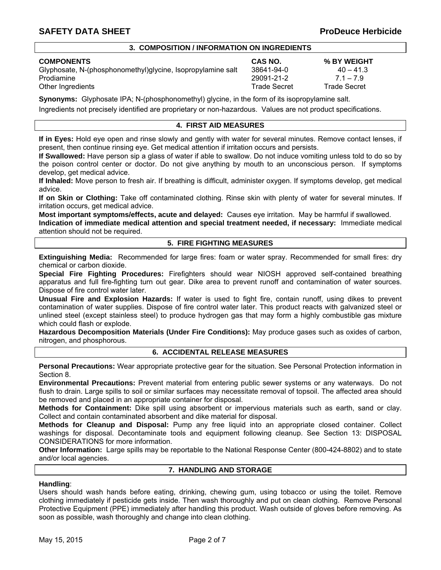# **3. COMPOSITION / INFORMATION ON INGREDIENTS**

# **COMPONENTS CAS NO. % BY WEIGHT**

Glyphosate, N-(phosphonomethyl)glycine, Isopropylamine salt  $38641-94-0$  40 – 41.3 Prodiamine 29091-21-2 7.1 – 7.9 Other Ingredients **Trade Secret** Trade Secret Trade Secret Trade Secret Trade Secret Trade Secret Trade Secret Trade Secret Trade Secret Trade Secret Trade Secret Trade Secret Trade Secret Trade Secret Trade Secret Trade S

**Synonyms:** Glyphosate IPA; N-(phosphonomethyl) glycine, in the form of its isopropylamine salt.

Ingredients not precisely identified are proprietary or non-hazardous. Values are not product specifications.

# **4. FIRST AID MEASURES**

**If in Eyes:** Hold eye open and rinse slowly and gently with water for several minutes. Remove contact lenses, if present, then continue rinsing eye. Get medical attention if irritation occurs and persists.

**If Swallowed:** Have person sip a glass of water if able to swallow. Do not induce vomiting unless told to do so by the poison control center or doctor. Do not give anything by mouth to an unconscious person. If symptoms develop, get medical advice.

**If Inhaled:** Move person to fresh air. If breathing is difficult, administer oxygen. If symptoms develop, get medical advice.

**If on Skin or Clothing:** Take off contaminated clothing. Rinse skin with plenty of water for several minutes. If irritation occurs, get medical advice.

**Most important symptoms/effects, acute and delayed:** Causes eye irritation. May be harmful if swallowed.

**Indication of immediate medical attention and special treatment needed, if necessary:** Immediate medical attention should not be required.

# **5. FIRE FIGHTING MEASURES**

**Extinguishing Media:** Recommended for large fires: foam or water spray. Recommended for small fires: dry chemical or carbon dioxide.

**Special Fire Fighting Procedures:** Firefighters should wear NIOSH approved self-contained breathing apparatus and full fire-fighting turn out gear. Dike area to prevent runoff and contamination of water sources. Dispose of fire control water later.

**Unusual Fire and Explosion Hazards:** If water is used to fight fire, contain runoff, using dikes to prevent contamination of water supplies. Dispose of fire control water later. This product reacts with galvanized steel or unlined steel (except stainless steel) to produce hydrogen gas that may form a highly combustible gas mixture which could flash or explode.

**Hazardous Decomposition Materials (Under Fire Conditions):** May produce gases such as oxides of carbon, nitrogen, and phosphorous.

# **6. ACCIDENTAL RELEASE MEASURES**

**Personal Precautions:** Wear appropriate protective gear for the situation. See Personal Protection information in Section 8.

**Environmental Precautions:** Prevent material from entering public sewer systems or any waterways. Do not flush to drain. Large spills to soil or similar surfaces may necessitate removal of topsoil. The affected area should be removed and placed in an appropriate container for disposal.

**Methods for Containment:** Dike spill using absorbent or impervious materials such as earth, sand or clay. Collect and contain contaminated absorbent and dike material for disposal.

**Methods for Cleanup and Disposal:** Pump any free liquid into an appropriate closed container. Collect washings for disposal. Decontaminate tools and equipment following cleanup. See Section 13: DISPOSAL CONSIDERATIONS for more information.

**Other Information:** Large spills may be reportable to the National Response Center (800-424-8802) and to state and/or local agencies.

# **7. HANDLING AND STORAGE**

# **Handling**:

Users should wash hands before eating, drinking, chewing gum, using tobacco or using the toilet. Remove clothing immediately if pesticide gets inside. Then wash thoroughly and put on clean clothing. Remove Personal Protective Equipment (PPE) immediately after handling this product. Wash outside of gloves before removing. As soon as possible, wash thoroughly and change into clean clothing.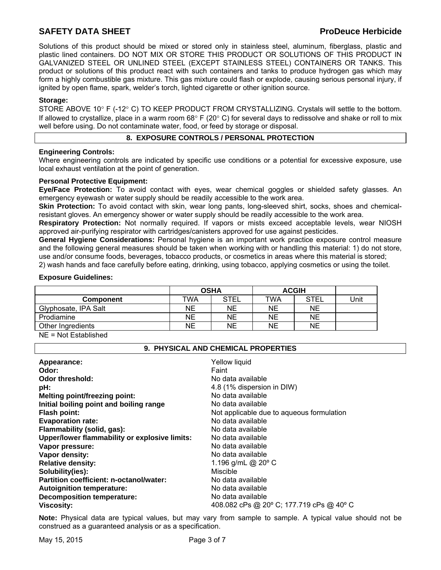Solutions of this product should be mixed or stored only in stainless steel, aluminum, fiberglass, plastic and plastic lined containers. DO NOT MIX OR STORE THIS PRODUCT OR SOLUTIONS OF THIS PRODUCT IN GALVANIZED STEEL OR UNLINED STEEL (EXCEPT STAINLESS STEEL) CONTAINERS OR TANKS. This product or solutions of this product react with such containers and tanks to produce hydrogen gas which may form a highly combustible gas mixture. This gas mixture could flash or explode, causing serious personal injury, if ignited by open flame, spark, welder's torch, lighted cigarette or other ignition source.

# **Storage:**

STORE ABOVE 10 $^{\circ}$  F (-12 $^{\circ}$  C) TO KEEP PRODUCT FROM CRYSTALLIZING. Crystals will settle to the bottom. If allowed to crystallize, place in a warm room  $68^{\circ}$  F (20 $^{\circ}$  C) for several days to redissolve and shake or roll to mix well before using. Do not contaminate water, food, or feed by storage or disposal.

# **8. EXPOSURE CONTROLS / PERSONAL PROTECTION**

# **Engineering Controls:**

Where engineering controls are indicated by specific use conditions or a potential for excessive exposure, use local exhaust ventilation at the point of generation.

# **Personal Protective Equipment:**

**Eye/Face Protection:** To avoid contact with eyes, wear chemical goggles or shielded safety glasses. An emergency eyewash or water supply should be readily accessible to the work area.

**Skin Protection:** To avoid contact with skin, wear long pants, long-sleeved shirt, socks, shoes and chemicalresistant gloves. An emergency shower or water supply should be readily accessible to the work area.

**Respiratory Protection:** Not normally required. If vapors or mists exceed acceptable levels, wear NIOSH approved air-purifying respirator with cartridges/canisters approved for use against pesticides.

**General Hygiene Considerations:** Personal hygiene is an important work practice exposure control measure and the following general measures should be taken when working with or handling this material: 1) do not store, use and/or consume foods, beverages, tobacco products, or cosmetics in areas where this material is stored;

2) wash hands and face carefully before eating, drinking, using tobacco, applying cosmetics or using the toilet.

# **Exposure Guidelines:**

|                      | <b>OSHA</b> |      | <b>ACGIH</b> |             |      |
|----------------------|-------------|------|--------------|-------------|------|
| <b>Component</b>     | TWA         | STEL | TWA          | <b>STEL</b> | Unit |
| Glyphosate, IPA Salt | NΕ          | NE   | NΕ           | <b>NE</b>   |      |
| Prodiamine           | NΕ          | NE   | NE           | NE          |      |
| Other Ingredients    | NE          | NE   | NE           | NE          |      |

NE = Not Established

# **9. PHYSICAL AND CHEMICAL PROPERTIES**

| Appearance:                                   | Yellow liquid                             |
|-----------------------------------------------|-------------------------------------------|
| Odor:                                         | Faint                                     |
| Odor threshold:                               | No data available                         |
| pH:                                           | 4.8 (1% dispersion in DIW)                |
| Melting point/freezing point:                 | No data available                         |
| Initial boiling point and boiling range       | No data available                         |
| <b>Flash point:</b>                           | Not applicable due to aqueous formulation |
| <b>Evaporation rate:</b>                      | No data available                         |
| Flammability (solid, gas):                    | No data available                         |
| Upper/lower flammability or explosive limits: | No data available                         |
| Vapor pressure:                               | No data available                         |
| Vapor density:                                | No data available                         |
| <b>Relative density:</b>                      | 1.196 g/mL @ $20^{\circ}$ C               |
| Solubility(ies):                              | Miscible                                  |
| Partition coefficient: n-octanol/water:       | No data available                         |
| <b>Autoignition temperature:</b>              | No data available                         |
| <b>Decomposition temperature:</b>             | No data available                         |
| <b>Viscosity:</b>                             | 408.082 cPs @ 20° C; 177.719 cPs @ 40° C  |

**Note:** Physical data are typical values, but may vary from sample to sample. A typical value should not be construed as a guaranteed analysis or as a specification.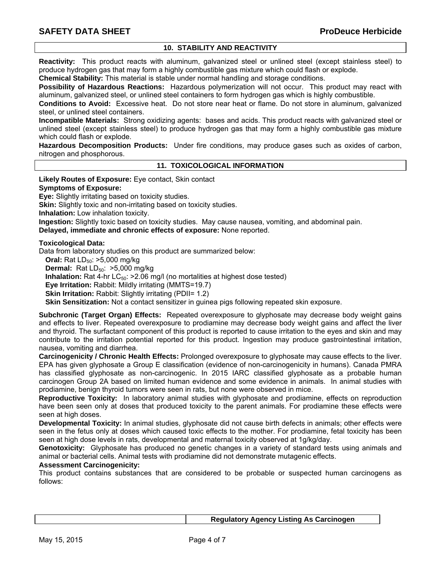# **10. STABILITY AND REACTIVITY**

**Reactivity:** This product reacts with aluminum, galvanized steel or unlined steel (except stainless steel) to produce hydrogen gas that may form a highly combustible gas mixture which could flash or explode.

**Chemical Stability:** This material is stable under normal handling and storage conditions.

**Possibility of Hazardous Reactions:** Hazardous polymerization will not occur. This product may react with aluminum, galvanized steel, or unlined steel containers to form hydrogen gas which is highly combustible.

**Conditions to Avoid:** Excessive heat. Do not store near heat or flame. Do not store in aluminum, galvanized steel, or unlined steel containers.

**Incompatible Materials:** Strong oxidizing agents: bases and acids. This product reacts with galvanized steel or unlined steel (except stainless steel) to produce hydrogen gas that may form a highly combustible gas mixture which could flash or explode.

**Hazardous Decomposition Products:** Under fire conditions, may produce gases such as oxides of carbon, nitrogen and phosphorous.

## **11. TOXICOLOGICAL INFORMATION**

**Likely Routes of Exposure:** Eye contact, Skin contact

**Symptoms of Exposure:** 

**Eye:** Slightly irritating based on toxicity studies.

**Skin:** Slightly toxic and non-irritating based on toxicity studies.

**Inhalation:** Low inhalation toxicity.

**Ingestion:** Slightly toxic based on toxicity studies. May cause nausea, vomiting, and abdominal pain.

**Delayed, immediate and chronic effects of exposure:** None reported.

## **Toxicological Data:**

Data from laboratory studies on this product are summarized below:

**Oral:** Rat LD<sub>50</sub>: >5,000 mg/kg

**Dermal:** Rat LD<sub>50</sub>: >5,000 mg/kg

**Inhalation:** Rat 4-hr LC<sub>50</sub>: >2.06 mg/l (no mortalities at highest dose tested)

**Eye Irritation:** Rabbit: Mildly irritating (MMTS=19.7)

**Skin Irritation: Rabbit: Slightly irritating (PDII= 1.2)** 

**Skin Sensitization:** Not a contact sensitizer in guinea pigs following repeated skin exposure.

**Subchronic (Target Organ) Effects:** Repeated overexposure to glyphosate may decrease body weight gains and effects to liver. Repeated overexposure to prodiamine may decrease body weight gains and affect the liver and thyroid. The surfactant component of this product is reported to cause irritation to the eyes and skin and may contribute to the irritation potential reported for this product. Ingestion may produce gastrointestinal irritation, nausea, vomiting and diarrhea.

**Carcinogenicity / Chronic Health Effects:** Prolonged overexposure to glyphosate may cause effects to the liver. EPA has given glyphosate a Group E classification (evidence of non-carcinogenicity in humans). Canada PMRA has classified glyphosate as non-carcinogenic. In 2015 IARC classified glyphosate as a probable human carcinogen Group 2A based on limited human evidence and some evidence in animals. In animal studies with prodiamine, benign thyroid tumors were seen in rats, but none were observed in mice.

**Reproductive Toxicity:** In laboratory animal studies with glyphosate and prodiamine, effects on reproduction have been seen only at doses that produced toxicity to the parent animals. For prodiamine these effects were seen at high doses.

**Developmental Toxicity:** In animal studies, glyphosate did not cause birth defects in animals; other effects were seen in the fetus only at doses which caused toxic effects to the mother. For prodiamine, fetal toxicity has been seen at high dose levels in rats, developmental and maternal toxicity observed at 1g/kg/day.

**Genotoxicity:** Glyphosate has produced no genetic changes in a variety of standard tests using animals and animal or bacterial cells. Animal tests with prodiamine did not demonstrate mutagenic effects.

#### **Assessment Carcinogenicity:**

This product contains substances that are considered to be probable or suspected human carcinogens as follows: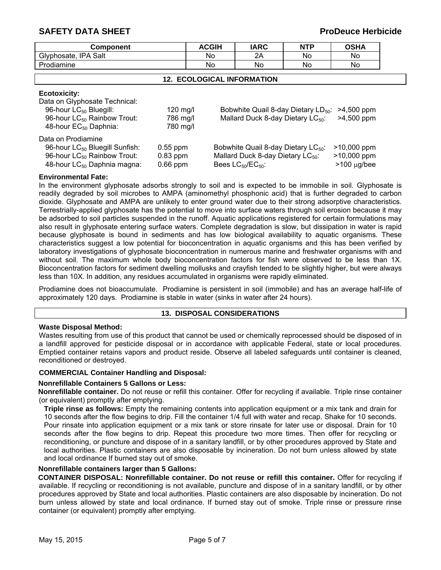| <b>Component</b>                        |            | <b>ACGIH</b> | <b>IARC</b>                                     | <b>NTP</b> | <b>OSHA</b>                                         |
|-----------------------------------------|------------|--------------|-------------------------------------------------|------------|-----------------------------------------------------|
| Glyphosate, IPA Salt                    |            | No.          | 2Α                                              | No.        | No.                                                 |
| Prodiamine                              |            | No.          | No.                                             | No.        | No.                                                 |
| <b>12. ECOLOGICAL INFORMATION</b>       |            |              |                                                 |            |                                                     |
| <b>Ecotoxicity:</b>                     |            |              |                                                 |            |                                                     |
| Data on Glyphosate Technical:           |            |              |                                                 |            |                                                     |
| 96-hour LC <sub>50</sub> Bluegill:      | $120$ mg/l |              |                                                 |            | Bobwhite Quail 8-day Dietary $LD_{50}$ : >4,500 ppm |
| 96-hour LC <sub>50</sub> Rainbow Trout: | 786 mg/l   |              | Mallard Duck 8-day Dietary LC <sub>50</sub> :   |            | >4,500 ppm                                          |
| 48-hour EC <sub>50</sub> Daphnia:       | 780 mg/l   |              |                                                 |            |                                                     |
| Data on Prodiamine                      |            |              |                                                 |            |                                                     |
| 96-hour $LC_{50}$ Bluegill Sunfish:     | $0.55$ ppm |              | Bobwhite Quail 8-day Dietary LC <sub>50</sub> : |            | $>10,000$ ppm                                       |
| 96-hour LC <sub>50</sub> Rainbow Trout: | $0.83$ ppm |              | Mallard Duck 8-day Dietary LC <sub>50</sub> :   |            | $>10,000$ ppm                                       |
| 48-hour LC <sub>50</sub> Daphnia magna: | $0.66$ ppm |              | Bees $LC_{50}/EC_{50}$ :                        |            | $>100 \mu g/bee$                                    |

## **Environmental Fate:**

In the environment glyphosate adsorbs strongly to soil and is expected to be immobile in soil. Glyphosate is readily degraded by soil microbes to AMPA (aminomethyl phosphonic acid) that is further degraded to carbon dioxide. Glyphosate and AMPA are unlikely to enter ground water due to their strong adsorptive characteristics. Terrestrially-applied glyphosate has the potential to move into surface waters through soil erosion because it may be adsorbed to soil particles suspended in the runoff. Aquatic applications registered for certain formulations may also result in glyphosate entering surface waters. Complete degradation is slow, but dissipation in water is rapid because glyphosate is bound in sediments and has low biological availability to aquatic organisms. These characteristics suggest a low potential for bioconcentration in aquatic organisms and this has been verified by laboratory investigations of glyphosate bioconcentration in numerous marine and freshwater organisms with and without soil. The maximum whole body bioconcentration factors for fish were observed to be less than 1X. Bioconcentration factors for sediment dwelling mollusks and crayfish tended to be slightly higher, but were always less than 10X. In addition, any residues accumulated in organisms were rapidly eliminated.

Prodiamine does not bioaccumulate. Prodiamine is persistent in soil (immobile) and has an average half-life of approximately 120 days. Prodiamine is stable in water (sinks in water after 24 hours).

# **13. DISPOSAL CONSIDERATIONS**

#### **Waste Disposal Method:**

Wastes resulting from use of this product that cannot be used or chemically reprocessed should be disposed of in a landfill approved for pesticide disposal or in accordance with applicable Federal, state or local procedures. Emptied container retains vapors and product reside. Observe all labeled safeguards until container is cleaned, reconditioned or destroyed.

### **COMMERCIAL Container Handling and Disposal:**

#### **Nonrefillable Containers 5 Gallons or Less:**

**Nonrefillable container.** Do not reuse or refill this container. Offer for recycling if available. Triple rinse container (or equivalent) promptly after emptying.

**Triple rinse as follows:** Empty the remaining contents into application equipment or a mix tank and drain for 10 seconds after the flow begins to drip. Fill the container 1/4 full with water and recap. Shake for 10 seconds. Pour rinsate into application equipment or a mix tank or store rinsate for later use or disposal. Drain for 10 seconds after the flow begins to drip. Repeat this procedure two more times. Then offer for recycling or reconditioning, or puncture and dispose of in a sanitary landfill, or by other procedures approved by State and local authorities. Plastic containers are also disposable by incineration. Do not burn unless allowed by state and local ordinance If burned stay out of smoke.

### **Nonrefillable containers larger than 5 Gallons:**

**CONTAINER DISPOSAL: Nonrefillable container. Do not reuse or refill this container.** Offer for recycling if available. If recycling or reconditioning is not available, puncture and dispose of in a sanitary landfill, or by other procedures approved by State and local authorities. Plastic containers are also disposable by incineration. Do not burn unless allowed by state and local ordinance. If burned stay out of smoke. Triple rinse or pressure rinse container (or equivalent) promptly after emptying.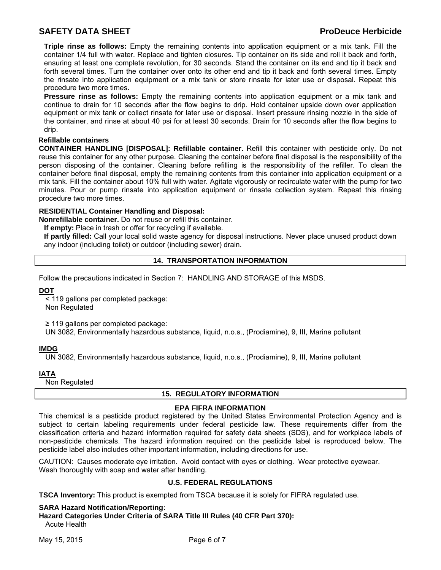**Triple rinse as follows:** Empty the remaining contents into application equipment or a mix tank. Fill the container 1/4 full with water. Replace and tighten closures. Tip container on its side and roll it back and forth, ensuring at least one complete revolution, for 30 seconds. Stand the container on its end and tip it back and forth several times. Turn the container over onto its other end and tip it back and forth several times. Empty the rinsate into application equipment or a mix tank or store rinsate for later use or disposal. Repeat this procedure two more times.

**Pressure rinse as follows:** Empty the remaining contents into application equipment or a mix tank and continue to drain for 10 seconds after the flow begins to drip. Hold container upside down over application equipment or mix tank or collect rinsate for later use or disposal. Insert pressure rinsing nozzle in the side of the container, and rinse at about 40 psi for at least 30 seconds. Drain for 10 seconds after the flow begins to drip.

# **Refillable containers**

**CONTAINER HANDLING [DISPOSAL]: Refillable container.** Refill this container with pesticide only. Do not reuse this container for any other purpose. Cleaning the container before final disposal is the responsibility of the person disposing of the container. Cleaning before refilling is the responsibility of the refiller. To clean the container before final disposal, empty the remaining contents from this container into application equipment or a mix tank. Fill the container about 10% full with water. Agitate vigorously or recirculate water with the pump for two minutes. Pour or pump rinsate into application equipment or rinsate collection system. Repeat this rinsing procedure two more times.

# **RESIDENTIAL Container Handling and Disposal:**

**Nonrefillable container.** Do not reuse or refill this container.

**If empty:** Place in trash or offer for recycling if available.

**If partly filled:** Call your local solid waste agency for disposal instructions. Never place unused product down any indoor (including toilet) or outdoor (including sewer) drain.

# **14. TRANSPORTATION INFORMATION**

Follow the precautions indicated in Section 7: HANDLING AND STORAGE of this MSDS.

**DOT**

< 119 gallons per completed package: Non Regulated

≥ 119 gallons per completed package:

UN 3082, Environmentally hazardous substance, liquid, n.o.s., (Prodiamine), 9, III, Marine pollutant

# **IMDG**

UN 3082, Environmentally hazardous substance, liquid, n.o.s., (Prodiamine), 9, III, Marine pollutant

**IATA**

Non Regulated

# **15. REGULATORY INFORMATION**

# **EPA FIFRA INFORMATION**

This chemical is a pesticide product registered by the United States Environmental Protection Agency and is subject to certain labeling requirements under federal pesticide law. These requirements differ from the classification criteria and hazard information required for safety data sheets (SDS), and for workplace labels of non-pesticide chemicals. The hazard information required on the pesticide label is reproduced below. The pesticide label also includes other important information, including directions for use.

CAUTION: Causes moderate eye irritation. Avoid contact with eyes or clothing. Wear protective eyewear. Wash thoroughly with soap and water after handling.

# **U.S. FEDERAL REGULATIONS**

**TSCA Inventory:** This product is exempted from TSCA because it is solely for FIFRA regulated use.

# **SARA Hazard Notification/Reporting:**

**Hazard Categories Under Criteria of SARA Title III Rules (40 CFR Part 370):** Acute Health